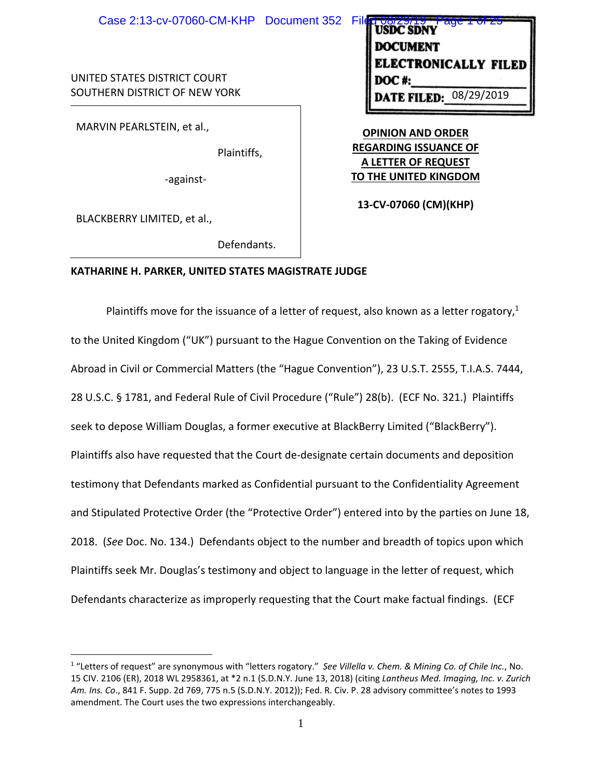UNITED STATES DISTRICT COURT SOUTHERN DISTRICT OF NEW YORK

MARVIN PEARLSTEIN, et al.,

Plaintiffs,

‐against‐

BLACKBERRY LIMITED, et al.,

Defendants.

### **KATHARINE H. PARKER, UNITED STATES MAGISTRATE JUDGE**

Plaintiffs move for the issuance of a letter of request, also known as a letter rogatory,<sup>1</sup> to the United Kingdom ("UK") pursuant to the Hague Convention on the Taking of Evidence Abroad in Civil or Commercial Matters (the "Hague Convention"), 23 U.S.T. 2555, T.I.A.S. 7444, 28 U.S.C. § 1781, and Federal Rule of Civil Procedure ("Rule") 28(b). (ECF No. 321.) Plaintiffs seek to depose William Douglas, a former executive at BlackBerry Limited ("BlackBerry"). Plaintiffs also have requested that the Court de‐designate certain documents and deposition testimony that Defendants marked as Confidential pursuant to the Confidentiality Agreement and Stipulated Protective Order (the "Protective Order") entered into by the parties on June 18, 2018. (*See* Doc. No. 134.) Defendants object to the number and breadth of topics upon which Plaintiffs seek Mr. Douglas's testimony and object to language in the letter of request, which Defendants characterize as improperly requesting that the Court make factual findings. (ECF

CTRONICALLY FILED **DATE FILED:** 08/29/2019

**OPINION AND ORDER REGARDING ISSUANCE OF A LETTER OF REQUEST TO THE UNITED KINGDOM**

**13‐CV‐07060 (CM)(KHP)**

<sup>1</sup> "Letters of request" are synonymous with "letters rogatory." *See Villella v. Chem. & Mining Co. of Chile Inc.*, No. 15 CIV. 2106 (ER), 2018 WL 2958361, at \*2 n.1 (S.D.N.Y. June 13, 2018) (citing *Lantheus Med. Imaging, Inc. v. Zurich Am. Ins. Co*., 841 F. Supp. 2d 769, 775 n.5 (S.D.N.Y. 2012)); Fed. R. Civ. P. 28 advisory committee's notes to 1993 amendment. The Court uses the two expressions interchangeably.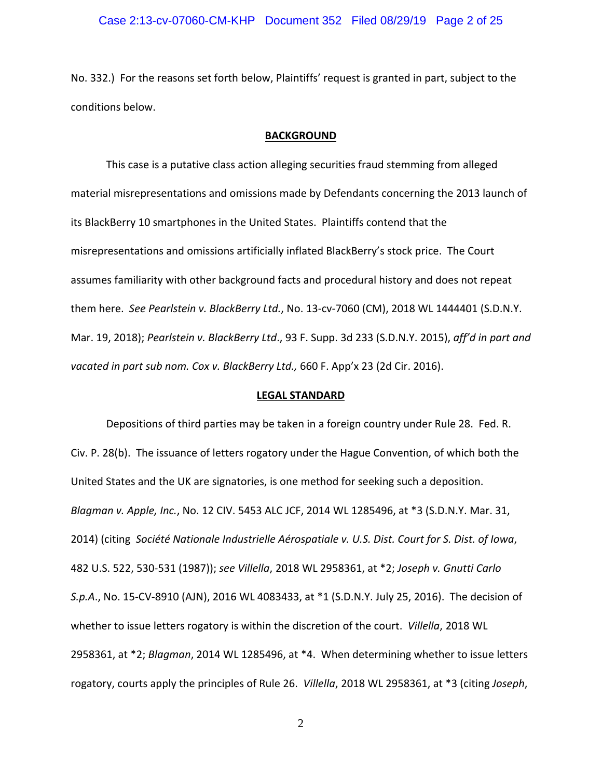No. 332.) For the reasons set forth below, Plaintiffs' request is granted in part, subject to the conditions below.

### **BACKGROUND**

This case is a putative class action alleging securities fraud stemming from alleged material misrepresentations and omissions made by Defendants concerning the 2013 launch of its BlackBerry 10 smartphones in the United States. Plaintiffs contend that the misrepresentations and omissions artificially inflated BlackBerry's stock price. The Court assumes familiarity with other background facts and procedural history and does not repeat them here. *See Pearlstein v. BlackBerry Ltd.*, No. 13‐cv‐7060 (CM), 2018 WL 1444401 (S.D.N.Y. Mar. 19, 2018); *Pearlstein v. BlackBerry Ltd*., 93 F. Supp. 3d 233 (S.D.N.Y. 2015), *aff'd in part and vacated in part sub nom. Cox v. BlackBerry Ltd.,* 660 F. App'x 23 (2d Cir. 2016).

### **LEGAL STANDARD**

Depositions of third parties may be taken in a foreign country under Rule 28. Fed. R. Civ. P. 28(b). The issuance of letters rogatory under the Hague Convention, of which both the United States and the UK are signatories, is one method for seeking such a deposition. *Blagman v. Apple, Inc.*, No. 12 CIV. 5453 ALC JCF, 2014 WL 1285496, at \*3 (S.D.N.Y. Mar. 31, 2014) (citing *Société Nationale Industrielle Aérospatiale v. U.S. Dist. Court for S. Dist. of Iowa*, 482 U.S. 522, 530‐531 (1987)); *see Villella*, 2018 WL 2958361, at \*2; *Joseph v. Gnutti Carlo S.p.A*., No. 15‐CV‐8910 (AJN), 2016 WL 4083433, at \*1 (S.D.N.Y. July 25, 2016). The decision of whether to issue letters rogatory is within the discretion of the court. *Villella*, 2018 WL 2958361, at \*2; *Blagman*, 2014 WL 1285496, at \*4. When determining whether to issue letters rogatory, courts apply the principles of Rule 26. *Villella*, 2018 WL 2958361, at \*3 (citing *Joseph*,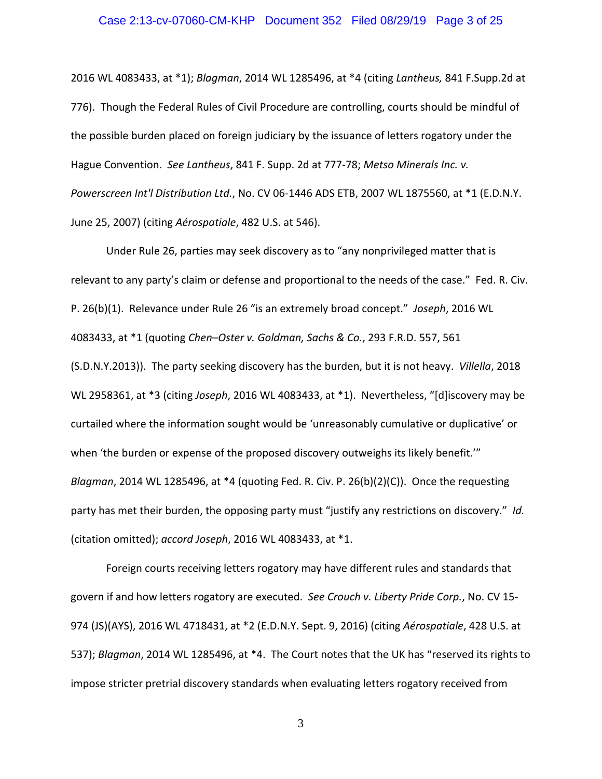### Case 2:13-cv-07060-CM-KHP Document 352 Filed 08/29/19 Page 3 of 25

2016 WL 4083433, at \*1); *Blagman*, 2014 WL 1285496, at \*4 (citing *Lantheus,* 841 F.Supp.2d at 776). Though the Federal Rules of Civil Procedure are controlling, courts should be mindful of the possible burden placed on foreign judiciary by the issuance of letters rogatory under the Hague Convention.*See Lantheus*, 841 F. Supp. 2d at 777‐78; *Metso Minerals Inc. v. Powerscreen Int'l Distribution Ltd.*, No. CV 06‐1446 ADS ETB, 2007 WL 1875560, at \*1 (E.D.N.Y. June 25, 2007) (citing *Aérospatiale*, 482 U.S. at 546).

Under Rule 26, parties may seek discovery as to "any nonprivileged matter that is relevant to any party's claim or defense and proportional to the needs of the case." Fed. R. Civ. P. 26(b)(1). Relevance under Rule 26 "is an extremely broad concept." *Joseph*, 2016 WL 4083433, at \*1 (quoting *Chen–Oster v. Goldman, Sachs & Co.*, 293 F.R.D. 557, 561 (S.D.N.Y.2013)). The party seeking discovery has the burden, but it is not heavy. *Villella*, 2018 WL 2958361, at \*3 (citing *Joseph*, 2016 WL 4083433, at \*1). Nevertheless, "[d]iscovery may be curtailed where the information sought would be 'unreasonably cumulative or duplicative' or when 'the burden or expense of the proposed discovery outweighs its likely benefit." *Blagman*, 2014 WL 1285496, at \*4 (quoting Fed. R. Civ. P. 26(b)(2)(C)). Once the requesting party has met their burden, the opposing party must "justify any restrictions on discovery." *Id.* (citation omitted); *accord Joseph*, 2016 WL 4083433, at \*1.

Foreign courts receiving letters rogatory may have different rules and standards that govern if and how letters rogatory are executed. *See Crouch v. Liberty Pride Corp.*, No. CV 15‐ 974 (JS)(AYS), 2016 WL 4718431, at \*2 (E.D.N.Y. Sept. 9, 2016) (citing *Aérospatiale*, 428 U.S. at 537); *Blagman*, 2014 WL 1285496, at \*4. The Court notes that the UK has "reserved its rights to impose stricter pretrial discovery standards when evaluating letters rogatory received from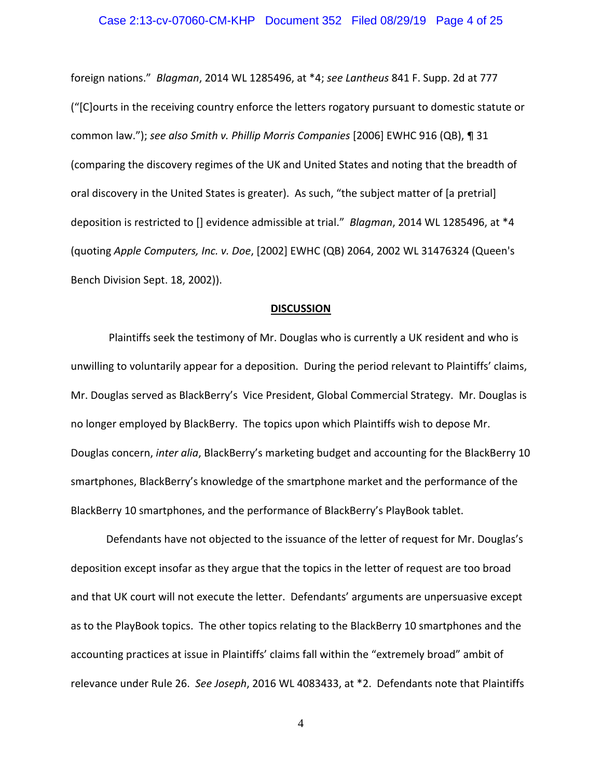### Case 2:13-cv-07060-CM-KHP Document 352 Filed 08/29/19 Page 4 of 25

foreign nations." *Blagman*, 2014 WL 1285496, at \*4; *see Lantheus* 841 F. Supp. 2d at 777 ("[C]ourts in the receiving country enforce the letters rogatory pursuant to domestic statute or common law."); *see also Smith v. Phillip Morris Companies* [2006] EWHC 916 (QB), ¶ 31 (comparing the discovery regimes of the UK and United States and noting that the breadth of oral discovery in the United States is greater). As such, "the subject matter of [a pretrial] deposition is restricted to [] evidence admissible at trial." *Blagman*, 2014 WL 1285496, at \*4 (quoting *Apple Computers, Inc. v. Doe*, [2002] EWHC (QB) 2064, 2002 WL 31476324 (Queen's Bench Division Sept. 18, 2002)).

#### **DISCUSSION**

Plaintiffs seek the testimony of Mr. Douglas who is currently a UK resident and who is unwilling to voluntarily appear for a deposition. During the period relevant to Plaintiffs' claims, Mr. Douglas served as BlackBerry's Vice President, Global Commercial Strategy. Mr. Douglas is no longer employed by BlackBerry. The topics upon which Plaintiffs wish to depose Mr. Douglas concern, *inter alia*, BlackBerry's marketing budget and accounting for the BlackBerry 10 smartphones, BlackBerry's knowledge of the smartphone market and the performance of the BlackBerry 10 smartphones, and the performance of BlackBerry's PlayBook tablet.

Defendants have not objected to the issuance of the letter of request for Mr. Douglas's deposition except insofar as they argue that the topics in the letter of request are too broad and that UK court will not execute the letter. Defendants' arguments are unpersuasive except as to the PlayBook topics. The other topics relating to the BlackBerry 10 smartphones and the accounting practices at issue in Plaintiffs' claims fall within the "extremely broad" ambit of relevance under Rule 26. *See Joseph*, 2016 WL 4083433, at \*2. Defendants note that Plaintiffs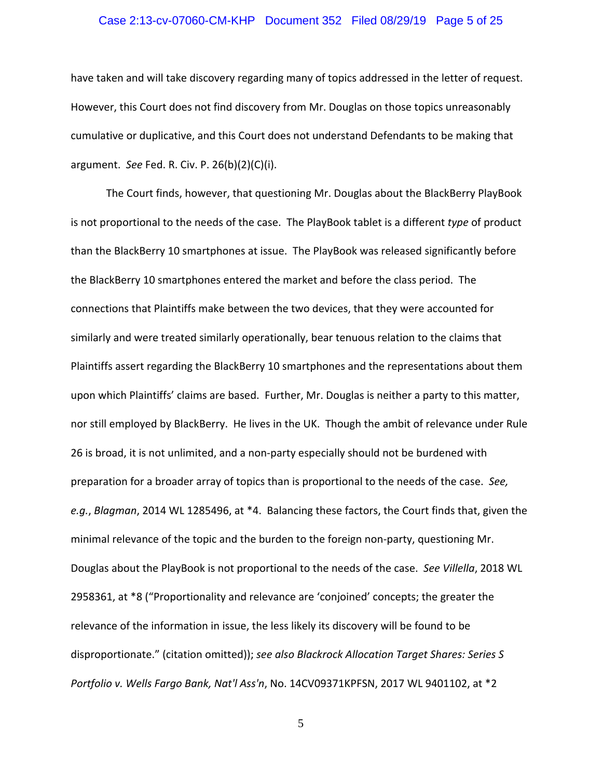### Case 2:13-cv-07060-CM-KHP Document 352 Filed 08/29/19 Page 5 of 25

have taken and will take discovery regarding many of topics addressed in the letter of request. However, this Court does not find discovery from Mr. Douglas on those topics unreasonably cumulative or duplicative, and this Court does not understand Defendants to be making that argument. *See* Fed. R. Civ. P. 26(b)(2)(C)(i).

The Court finds, however, that questioning Mr. Douglas about the BlackBerry PlayBook is not proportional to the needs of the case. The PlayBook tablet is a different *type* of product than the BlackBerry 10 smartphones at issue. The PlayBook was released significantly before the BlackBerry 10 smartphones entered the market and before the class period. The connections that Plaintiffs make between the two devices, that they were accounted for similarly and were treated similarly operationally, bear tenuous relation to the claims that Plaintiffs assert regarding the BlackBerry 10 smartphones and the representations about them upon which Plaintiffs' claims are based. Further, Mr. Douglas is neither a party to this matter, nor still employed by BlackBerry. He lives in the UK. Though the ambit of relevance under Rule 26 is broad, it is not unlimited, and a non‐party especially should not be burdened with preparation for a broader array of topics than is proportional to the needs of the case. *See, e.g.*, *Blagman*, 2014 WL 1285496, at \*4. Balancing these factors, the Court finds that, given the minimal relevance of the topic and the burden to the foreign non-party, questioning Mr. Douglas about the PlayBook is not proportional to the needs of the case. *See Villella*, 2018 WL 2958361, at \*8 ("Proportionality and relevance are 'conjoined' concepts; the greater the relevance of the information in issue, the less likely its discovery will be found to be disproportionate." (citation omitted)); *see also Blackrock Allocation Target Shares: Series S Portfolio v. Wells Fargo Bank, Nat'l Ass'n*, No. 14CV09371KPFSN, 2017 WL 9401102, at \*2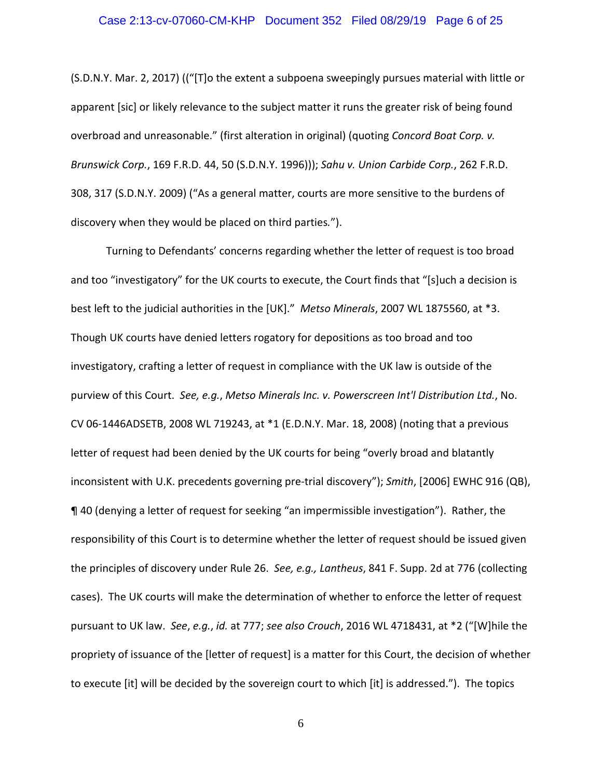### Case 2:13-cv-07060-CM-KHP Document 352 Filed 08/29/19 Page 6 of 25

(S.D.N.Y. Mar. 2, 2017) (("[T]o the extent a subpoena sweepingly pursues material with little or apparent [sic] or likely relevance to the subject matter it runs the greater risk of being found overbroad and unreasonable." (first alteration in original) (quoting *Concord Boat Corp. v. Brunswick Corp.*, 169 F.R.D. 44, 50 (S.D.N.Y. 1996))); *Sahu v. Union Carbide Corp.*, 262 F.R.D. 308, 317 (S.D.N.Y. 2009) ("As a general matter, courts are more sensitive to the burdens of discovery when they would be placed on third parties*.*").

Turning to Defendants' concerns regarding whether the letter of request is too broad and too "investigatory" for the UK courts to execute, the Court finds that "[s]uch a decision is best left to the judicial authorities in the [UK]." *Metso Minerals*, 2007 WL 1875560, at \*3. Though UK courts have denied letters rogatory for depositions as too broad and too investigatory, crafting a letter of request in compliance with the UK law is outside of the purview of this Court. *See, e.g.*, *Metso Minerals Inc. v. Powerscreen Int'l Distribution Ltd.*, No. CV 06‐1446ADSETB, 2008 WL 719243, at \*1 (E.D.N.Y. Mar. 18, 2008) (noting that a previous letter of request had been denied by the UK courts for being "overly broad and blatantly inconsistent with U.K. precedents governing pre‐trial discovery"); *Smith*, [2006] EWHC 916 (QB), ¶ 40 (denying a letter of request for seeking "an impermissible investigation"). Rather, the responsibility of this Court is to determine whether the letter of request should be issued given the principles of discovery under Rule 26. *See, e.g., Lantheus*, 841 F. Supp. 2d at 776 (collecting cases). The UK courts will make the determination of whether to enforce the letter of request pursuant to UK law. *See*, *e.g.*, *id.* at 777; *see also Crouch*, 2016 WL 4718431, at \*2 ("[W]hile the propriety of issuance of the [letter of request] is a matter for this Court, the decision of whether to execute [it] will be decided by the sovereign court to which [it] is addressed."). The topics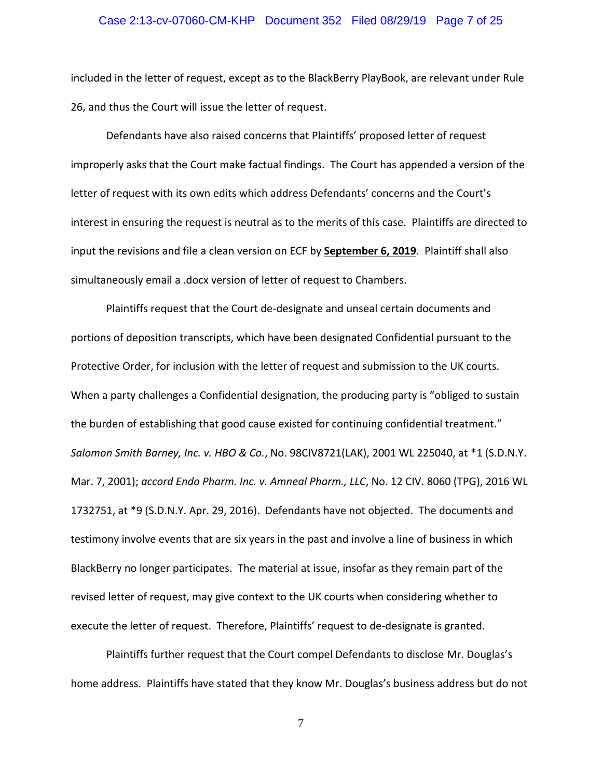### Case 2:13-cv-07060-CM-KHP Document 352 Filed 08/29/19 Page 7 of 25

included in the letter of request, except as to the BlackBerry PlayBook, are relevant under Rule 26, and thus the Court will issue the letter of request.

Defendants have also raised concerns that Plaintiffs' proposed letter of request improperly asks that the Court make factual findings. The Court has appended a version of the letter of request with its own edits which address Defendants' concerns and the Court's interest in ensuring the request is neutral as to the merits of this case. Plaintiffs are directed to input the revisions and file a clean version on ECF by **September 6, 2019**. Plaintiff shall also simultaneously email a .docx version of letter of request to Chambers.

Plaintiffs request that the Court de‐designate and unseal certain documents and portions of deposition transcripts, which have been designated Confidential pursuant to the Protective Order, for inclusion with the letter of request and submission to the UK courts. When a party challenges a Confidential designation, the producing party is "obliged to sustain the burden of establishing that good cause existed for continuing confidential treatment." *Salomon Smith Barney, Inc. v. HBO & Co.*, No. 98CIV8721(LAK), 2001 WL 225040, at \*1 (S.D.N.Y. Mar. 7, 2001); *accord Endo Pharm. Inc. v. Amneal Pharm., LLC*, No. 12 CIV. 8060 (TPG), 2016 WL 1732751, at \*9 (S.D.N.Y. Apr. 29, 2016). Defendants have not objected. The documents and testimony involve events that are six years in the past and involve a line of business in which BlackBerry no longer participates. The material at issue, insofar as they remain part of the revised letter of request, may give context to the UK courts when considering whether to execute the letter of request. Therefore, Plaintiffs' request to de‐designate is granted.

Plaintiffs further request that the Court compel Defendants to disclose Mr. Douglas's home address. Plaintiffs have stated that they know Mr. Douglas's business address but do not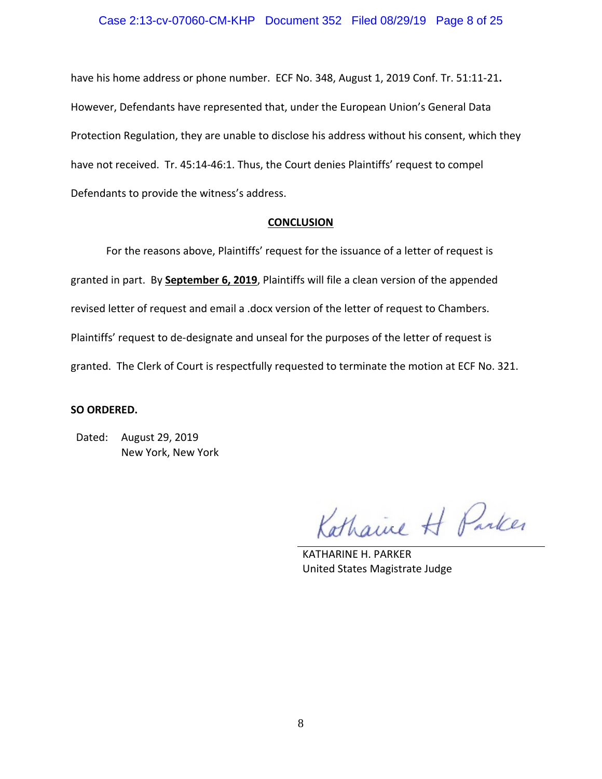### Case 2:13-cv-07060-CM-KHP Document 352 Filed 08/29/19 Page 8 of 25

have his home address or phone number. ECF No. 348, August 1, 2019 Conf. Tr. 51:11‐21**.** However, Defendants have represented that, under the European Union's General Data Protection Regulation, they are unable to disclose his address without his consent, which they have not received. Tr. 45:14-46:1. Thus, the Court denies Plaintiffs' request to compel Defendants to provide the witness's address.

### **CONCLUSION**

For the reasons above, Plaintiffs' request for the issuance of a letter of request is granted in part. By **September 6, 2019**, Plaintiffs will file a clean version of the appended revised letter of request and email a .docx version of the letter of request to Chambers. Plaintiffs' request to de-designate and unseal for the purposes of the letter of request is granted. The Clerk of Court is respectfully requested to terminate the motion at ECF No. 321.

### **SO ORDERED.**

Dated: August 29, 2019 New York, New York

Kathaine H Parker

KATHARINE H. PARKER United States Magistrate Judge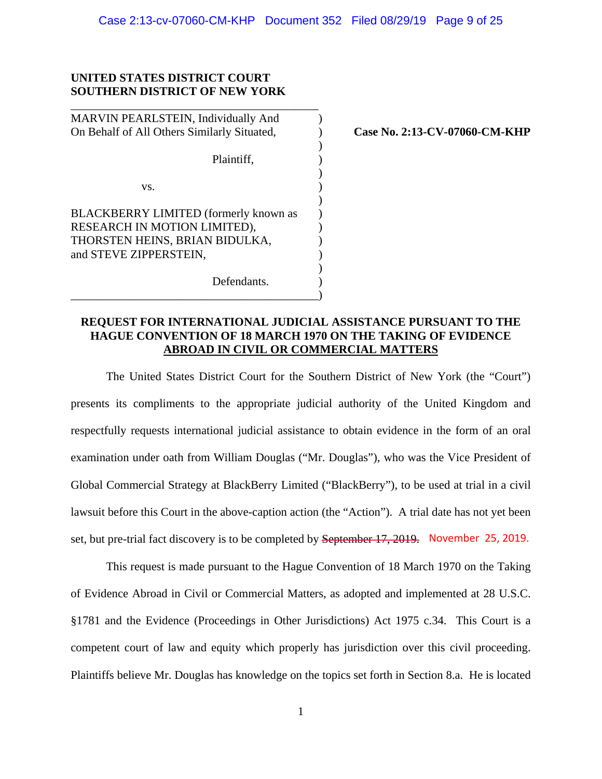)

)

)

### **UNITED STATES DISTRICT COURT SOUTHERN DISTRICT OF NEW YORK**

\_\_\_\_\_\_\_\_\_\_\_\_\_\_\_\_\_\_\_\_\_\_\_\_\_\_\_\_\_\_\_\_\_\_\_\_\_\_\_\_\_\_

MARVIN PEARLSTEIN, Individually And ) On Behalf of All Others Similarly Situated. **Case No. 2:13-CV-07060-CM-KHP** 

Plaintiff,  $\qquad \qquad$ )

 $\mathbf{v}\mathbf{s}$ .  $\qquad \qquad$  )

BLACKBERRY LIMITED (formerly known as ) RESEARCH IN MOTION LIMITED), THORSTEN HEINS, BRIAN BIDULKA,  $\qquad \qquad$  ) and STEVE ZIPPERSTEIN,  $($  $\overline{\phantom{a}}$ 

Defendants. \_\_\_\_\_\_\_\_\_\_\_\_\_\_\_\_\_\_\_\_\_\_\_\_\_\_\_\_\_\_\_\_\_\_\_\_\_\_\_\_\_\_)

# **REQUEST FOR INTERNATIONAL JUDICIAL ASSISTANCE PURSUANT TO THE HAGUE CONVENTION OF 18 MARCH 1970 ON THE TAKING OF EVIDENCE ABROAD IN CIVIL OR COMMERCIAL MATTERS**

The United States District Court for the Southern District of New York (the "Court") presents its compliments to the appropriate judicial authority of the United Kingdom and respectfully requests international judicial assistance to obtain evidence in the form of an oral examination under oath from William Douglas ("Mr. Douglas"), who was the Vice President of Global Commercial Strategy at BlackBerry Limited ("BlackBerry"), to be used at trial in a civil lawsuit before this Court in the above-caption action (the "Action"). A trial date has not yet been set, but pre-trial fact discovery is to be completed by September 17, 2019. November 25, 2019.

This request is made pursuant to the Hague Convention of 18 March 1970 on the Taking of Evidence Abroad in Civil or Commercial Matters, as adopted and implemented at 28 U.S.C. §1781 and the Evidence (Proceedings in Other Jurisdictions) Act 1975 c.34. This Court is a competent court of law and equity which properly has jurisdiction over this civil proceeding. Plaintiffs believe Mr. Douglas has knowledge on the topics set forth in Section 8.a. He is located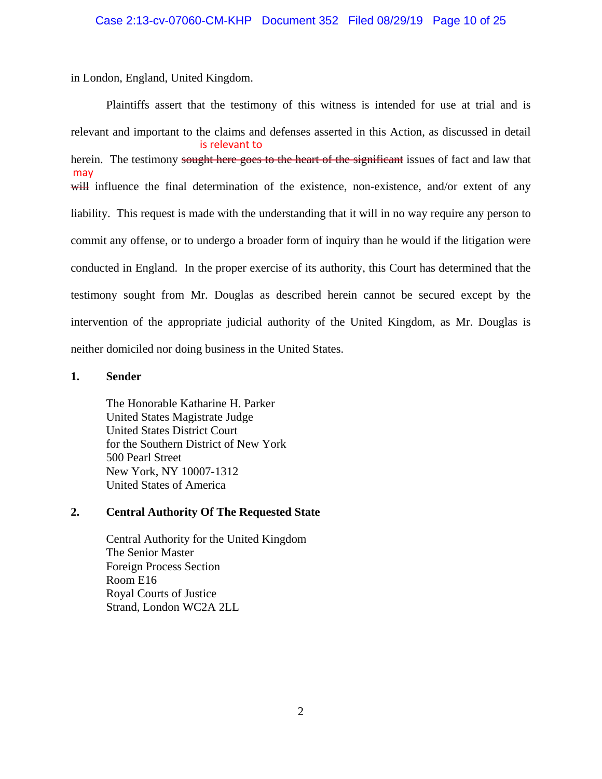in London, England, United Kingdom.

Plaintiffs assert that the testimony of this witness is intended for use at trial and is relevant and important to the claims and defenses asserted in this Action, as discussed in detail herein. The testimony sought here goes to the heart of the significant issues of fact and law that will influence the final determination of the existence, non-existence, and/or extent of any liability. This request is made with the understanding that it will in no way require any person to commit any offense, or to undergo a broader form of inquiry than he would if the litigation were conducted in England. In the proper exercise of its authority, this Court has determined that the testimony sought from Mr. Douglas as described herein cannot be secured except by the intervention of the appropriate judicial authority of the United Kingdom, as Mr. Douglas is neither domiciled nor doing business in the United States. is relevant to may

## **1. Sender**

The Honorable Katharine H. Parker United States Magistrate Judge United States District Court for the Southern District of New York 500 Pearl Street New York, NY 10007-1312 United States of America

# **2. Central Authority Of The Requested State**

Central Authority for the United Kingdom The Senior Master Foreign Process Section Room E16 Royal Courts of Justice Strand, London WC2A 2LL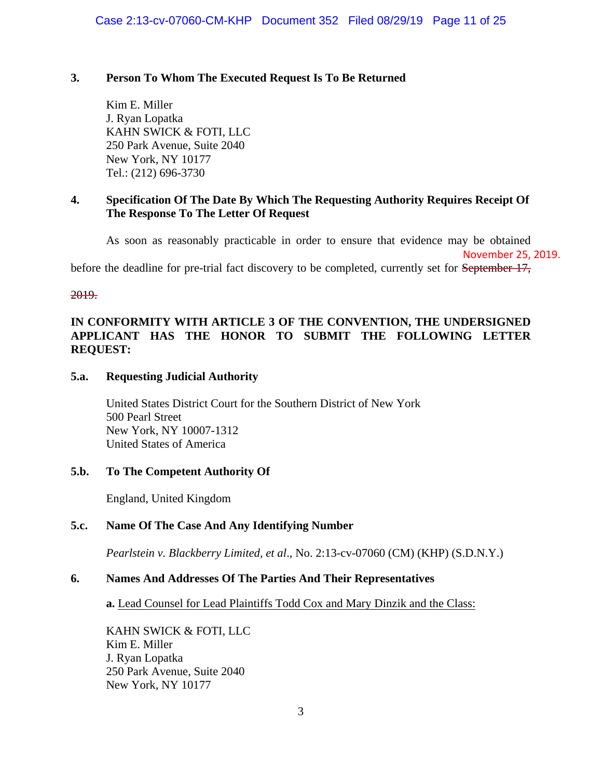# **3. Person To Whom The Executed Request Is To Be Returned**

Kim E. Miller J. Ryan Lopatka KAHN SWICK & FOTI, LLC 250 Park Avenue, Suite 2040 New York, NY 10177 Tel.: (212) 696-3730

# **4. Specification Of The Date By Which The Requesting Authority Requires Receipt Of The Response To The Letter Of Request**

As soon as reasonably practicable in order to ensure that evidence may be obtained November 25, 2019. before the deadline for pre-trial fact discovery to be completed, currently set for September 17,

2019.

# **IN CONFORMITY WITH ARTICLE 3 OF THE CONVENTION, THE UNDERSIGNED APPLICANT HAS THE HONOR TO SUBMIT THE FOLLOWING LETTER REQUEST:**

# **5.a. Requesting Judicial Authority**

United States District Court for the Southern District of New York 500 Pearl Street New York, NY 10007-1312 United States of America

## **5.b. To The Competent Authority Of**

England, United Kingdom

# **5.c. Name Of The Case And Any Identifying Number**

*Pearlstein v. Blackberry Limited, et al*., No. 2:13-cv-07060 (CM) (KHP) (S.D.N.Y.)

## **6. Names And Addresses Of The Parties And Their Representatives**

**a.** Lead Counsel for Lead Plaintiffs Todd Cox and Mary Dinzik and the Class:

KAHN SWICK & FOTI, LLC Kim E. Miller J. Ryan Lopatka 250 Park Avenue, Suite 2040 New York, NY 10177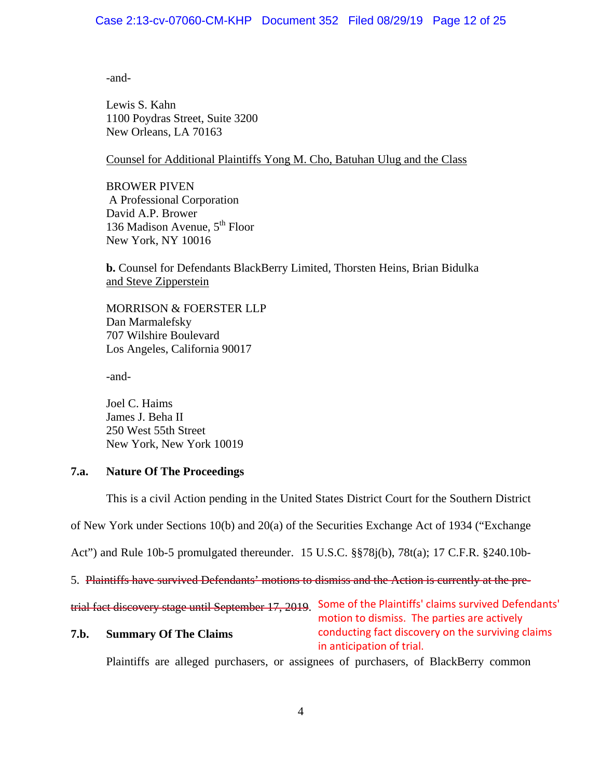## Case 2:13-cv-07060-CM-KHP Document 352 Filed 08/29/19 Page 12 of 25

-and-

Lewis S. Kahn 1100 Poydras Street, Suite 3200 New Orleans, LA 70163

### Counsel for Additional Plaintiffs Yong M. Cho, Batuhan Ulug and the Class

BROWER PIVEN A Professional Corporation David A.P. Brower 136 Madison Avenue, 5<sup>th</sup> Floor New York, NY 10016

**b.** Counsel for Defendants BlackBerry Limited, Thorsten Heins, Brian Bidulka and Steve Zipperstein

MORRISON & FOERSTER LLP Dan Marmalefsky 707 Wilshire Boulevard Los Angeles, California 90017

-and-

Joel C. Haims James J. Beha II 250 West 55th Street New York, New York 10019

### **7.a. Nature Of The Proceedings**

This is a civil Action pending in the United States District Court for the Southern District

of New York under Sections 10(b) and 20(a) of the Securities Exchange Act of 1934 ("Exchange

Act") and Rule 10b-5 promulgated thereunder. 15 U.S.C. §§78j(b), 78t(a); 17 C.F.R. §240.10b-

5. Plaintiffs have survived Defendants' motions to dismiss and the Action is currently at the pre-

trial fact discovery stage until September 17, 2019. Some of the Plaintiffs' claims survived Defendants' motion to dismiss. The parties are actively

### **7.b. Summary Of The Claims**

conducting fact discovery on the surviving claims in anticipation of trial.

Plaintiffs are alleged purchasers, or assignees of purchasers, of BlackBerry common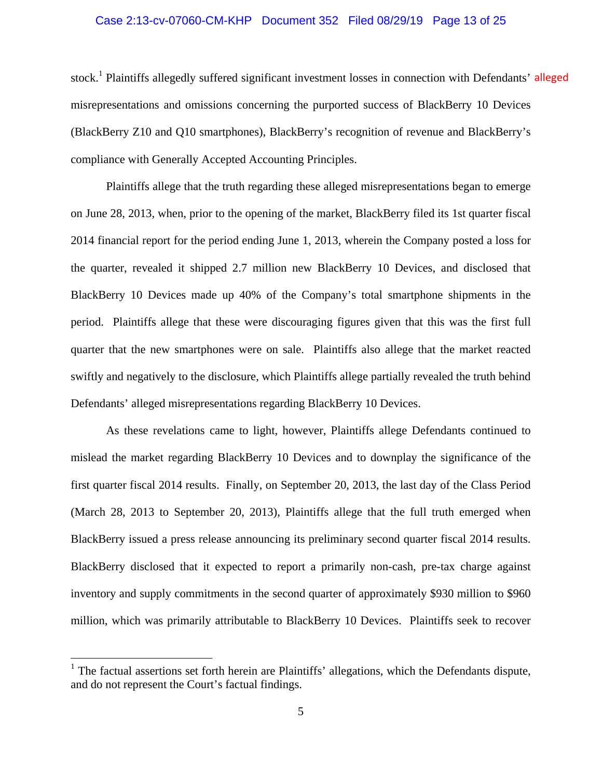# Case 2:13-cv-07060-CM-KHP Document 352 Filed 08/29/19 Page 13 of 25

stock.<sup>1</sup> Plaintiffs allegedly suffered significant investment losses in connection with Defendants' alleged misrepresentations and omissions concerning the purported success of BlackBerry 10 Devices (BlackBerry Z10 and Q10 smartphones), BlackBerry's recognition of revenue and BlackBerry's compliance with Generally Accepted Accounting Principles.

Plaintiffs allege that the truth regarding these alleged misrepresentations began to emerge on June 28, 2013, when, prior to the opening of the market, BlackBerry filed its 1st quarter fiscal 2014 financial report for the period ending June 1, 2013, wherein the Company posted a loss for the quarter, revealed it shipped 2.7 million new BlackBerry 10 Devices, and disclosed that BlackBerry 10 Devices made up 40% of the Company's total smartphone shipments in the period. Plaintiffs allege that these were discouraging figures given that this was the first full quarter that the new smartphones were on sale. Plaintiffs also allege that the market reacted swiftly and negatively to the disclosure, which Plaintiffs allege partially revealed the truth behind Defendants' alleged misrepresentations regarding BlackBerry 10 Devices.

As these revelations came to light, however, Plaintiffs allege Defendants continued to mislead the market regarding BlackBerry 10 Devices and to downplay the significance of the first quarter fiscal 2014 results. Finally, on September 20, 2013, the last day of the Class Period (March 28, 2013 to September 20, 2013), Plaintiffs allege that the full truth emerged when BlackBerry issued a press release announcing its preliminary second quarter fiscal 2014 results. BlackBerry disclosed that it expected to report a primarily non-cash, pre-tax charge against inventory and supply commitments in the second quarter of approximately \$930 million to \$960 million, which was primarily attributable to BlackBerry 10 Devices. Plaintiffs seek to recover

<sup>&</sup>lt;sup>1</sup> The factual assertions set forth herein are Plaintiffs' allegations, which the Defendants dispute, and do not represent the Court's factual findings.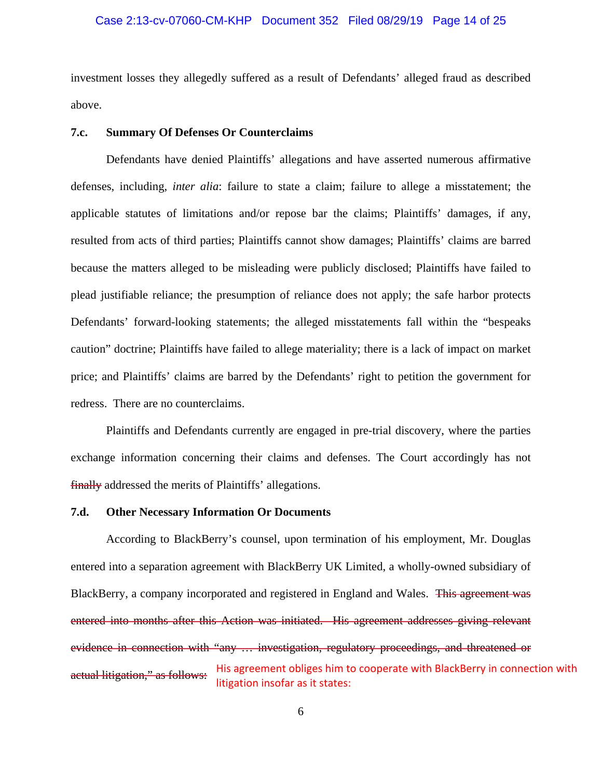### Case 2:13-cv-07060-CM-KHP Document 352 Filed 08/29/19 Page 14 of 25

investment losses they allegedly suffered as a result of Defendants' alleged fraud as described above.

#### **7.c. Summary Of Defenses Or Counterclaims**

Defendants have denied Plaintiffs' allegations and have asserted numerous affirmative defenses, including, *inter alia*: failure to state a claim; failure to allege a misstatement; the applicable statutes of limitations and/or repose bar the claims; Plaintiffs' damages, if any, resulted from acts of third parties; Plaintiffs cannot show damages; Plaintiffs' claims are barred because the matters alleged to be misleading were publicly disclosed; Plaintiffs have failed to plead justifiable reliance; the presumption of reliance does not apply; the safe harbor protects Defendants' forward-looking statements; the alleged misstatements fall within the "bespeaks caution" doctrine; Plaintiffs have failed to allege materiality; there is a lack of impact on market price; and Plaintiffs' claims are barred by the Defendants' right to petition the government for redress. There are no counterclaims.

Plaintiffs and Defendants currently are engaged in pre-trial discovery, where the parties exchange information concerning their claims and defenses. The Court accordingly has not finally addressed the merits of Plaintiffs' allegations.

### **7.d. Other Necessary Information Or Documents**

According to BlackBerry's counsel, upon termination of his employment, Mr. Douglas entered into a separation agreement with BlackBerry UK Limited, a wholly-owned subsidiary of BlackBerry, a company incorporated and registered in England and Wales. This agreement was entered into months after this Action was initiated. His agreement addresses giving relevant evidence in connection with "any … investigation, regulatory proceedings, and threatened or actual litigation," as follows: His agreement obliges him to cooperate with BlackBerry in connection with litigation insofar as it states: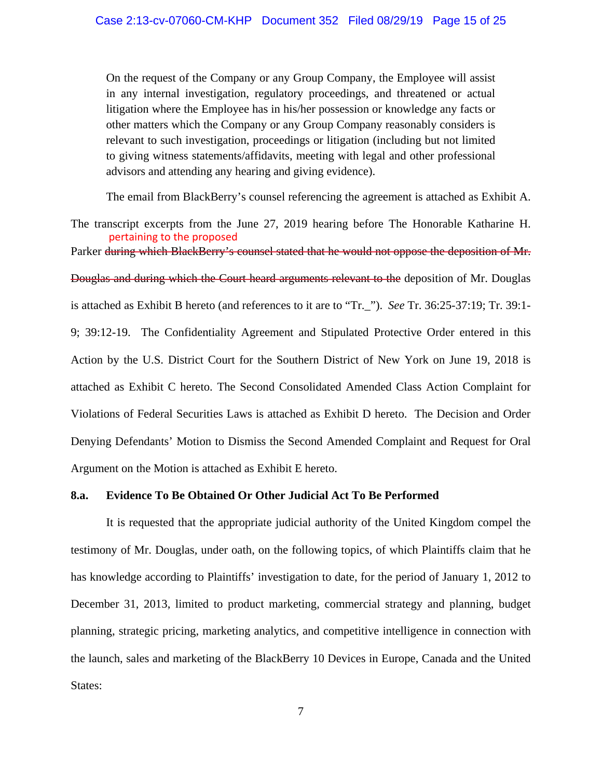On the request of the Company or any Group Company, the Employee will assist in any internal investigation, regulatory proceedings, and threatened or actual litigation where the Employee has in his/her possession or knowledge any facts or other matters which the Company or any Group Company reasonably considers is relevant to such investigation, proceedings or litigation (including but not limited to giving witness statements/affidavits, meeting with legal and other professional advisors and attending any hearing and giving evidence).

The email from BlackBerry's counsel referencing the agreement is attached as Exhibit A.

The transcript excerpts from the June 27, 2019 hearing before The Honorable Katharine H. Parker during which BlackBerry's counsel stated that he would not oppose the deposition of Mr. Douglas and during which the Court heard arguments relevant to the deposition of Mr. Douglas is attached as Exhibit B hereto (and references to it are to "Tr.\_"). *See* Tr. 36:25-37:19; Tr. 39:1- 9; 39:12-19. The Confidentiality Agreement and Stipulated Protective Order entered in this Action by the U.S. District Court for the Southern District of New York on June 19, 2018 is attached as Exhibit C hereto. The Second Consolidated Amended Class Action Complaint for Violations of Federal Securities Laws is attached as Exhibit D hereto. The Decision and Order Denying Defendants' Motion to Dismiss the Second Amended Complaint and Request for Oral Argument on the Motion is attached as Exhibit E hereto. pertaining to the proposed

### **8.a. Evidence To Be Obtained Or Other Judicial Act To Be Performed**

It is requested that the appropriate judicial authority of the United Kingdom compel the testimony of Mr. Douglas, under oath, on the following topics, of which Plaintiffs claim that he has knowledge according to Plaintiffs' investigation to date, for the period of January 1, 2012 to December 31, 2013, limited to product marketing, commercial strategy and planning, budget planning, strategic pricing, marketing analytics, and competitive intelligence in connection with the launch, sales and marketing of the BlackBerry 10 Devices in Europe, Canada and the United States: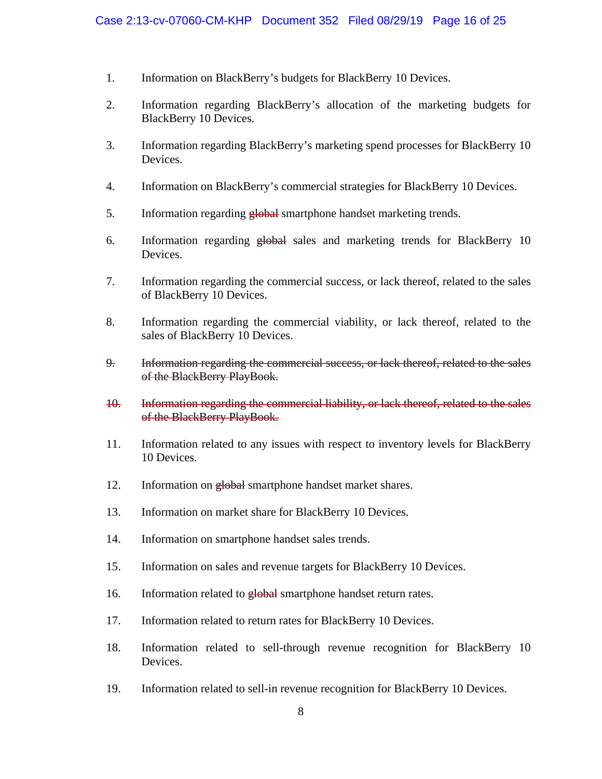- 1. Information on BlackBerry's budgets for BlackBerry 10 Devices.
- 2. Information regarding BlackBerry's allocation of the marketing budgets for BlackBerry 10 Devices.
- 3. Information regarding BlackBerry's marketing spend processes for BlackBerry 10 Devices.
- 4. Information on BlackBerry's commercial strategies for BlackBerry 10 Devices.
- 5. Information regarding global smartphone handset marketing trends.
- 6. Information regarding global sales and marketing trends for BlackBerry 10 Devices.
- 7. Information regarding the commercial success, or lack thereof, related to the sales of BlackBerry 10 Devices.
- 8. Information regarding the commercial viability, or lack thereof, related to the sales of BlackBerry 10 Devices.
- 9. Information regarding the commercial success, or lack thereof, related to the sales of the BlackBerry PlayBook.
- 10. Information regarding the commercial liability, or lack thereof, related to the sales of the BlackBerry PlayBook.
- 11. Information related to any issues with respect to inventory levels for BlackBerry 10 Devices.
- 12. Information on global smartphone handset market shares.
- 13. Information on market share for BlackBerry 10 Devices.
- 14. Information on smartphone handset sales trends.
- 15. Information on sales and revenue targets for BlackBerry 10 Devices.
- 16. Information related to global smartphone handset return rates.
- 17. Information related to return rates for BlackBerry 10 Devices.
- 18. Information related to sell-through revenue recognition for BlackBerry 10 Devices.
- 19. Information related to sell-in revenue recognition for BlackBerry 10 Devices.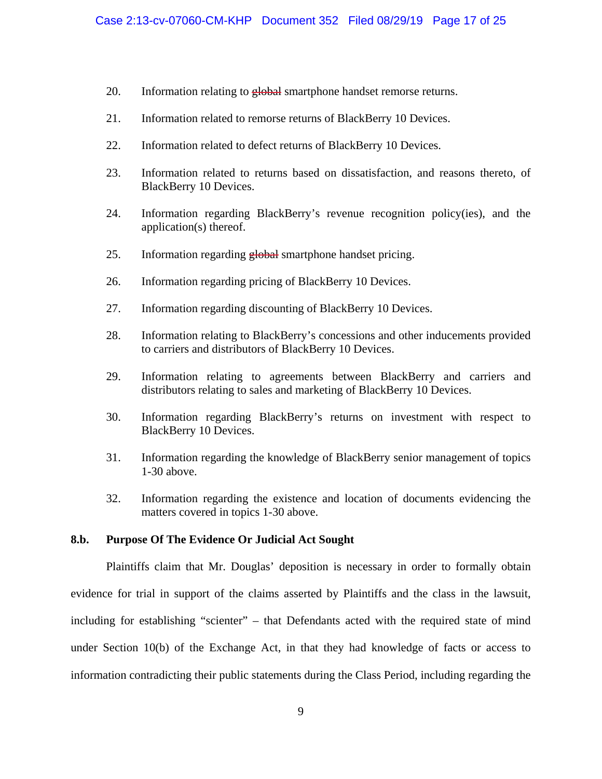- 20. Information relating to global smartphone handset remorse returns.
- 21. Information related to remorse returns of BlackBerry 10 Devices.
- 22. Information related to defect returns of BlackBerry 10 Devices.
- 23. Information related to returns based on dissatisfaction, and reasons thereto, of BlackBerry 10 Devices.
- 24. Information regarding BlackBerry's revenue recognition policy(ies), and the application(s) thereof.
- 25. Information regarding global smartphone handset pricing.
- 26. Information regarding pricing of BlackBerry 10 Devices.
- 27. Information regarding discounting of BlackBerry 10 Devices.
- 28. Information relating to BlackBerry's concessions and other inducements provided to carriers and distributors of BlackBerry 10 Devices.
- 29. Information relating to agreements between BlackBerry and carriers and distributors relating to sales and marketing of BlackBerry 10 Devices.
- 30. Information regarding BlackBerry's returns on investment with respect to BlackBerry 10 Devices.
- 31. Information regarding the knowledge of BlackBerry senior management of topics 1-30 above.
- 32. Information regarding the existence and location of documents evidencing the matters covered in topics 1-30 above.

### **8.b. Purpose Of The Evidence Or Judicial Act Sought**

Plaintiffs claim that Mr. Douglas' deposition is necessary in order to formally obtain evidence for trial in support of the claims asserted by Plaintiffs and the class in the lawsuit, including for establishing "scienter" – that Defendants acted with the required state of mind under Section 10(b) of the Exchange Act, in that they had knowledge of facts or access to information contradicting their public statements during the Class Period, including regarding the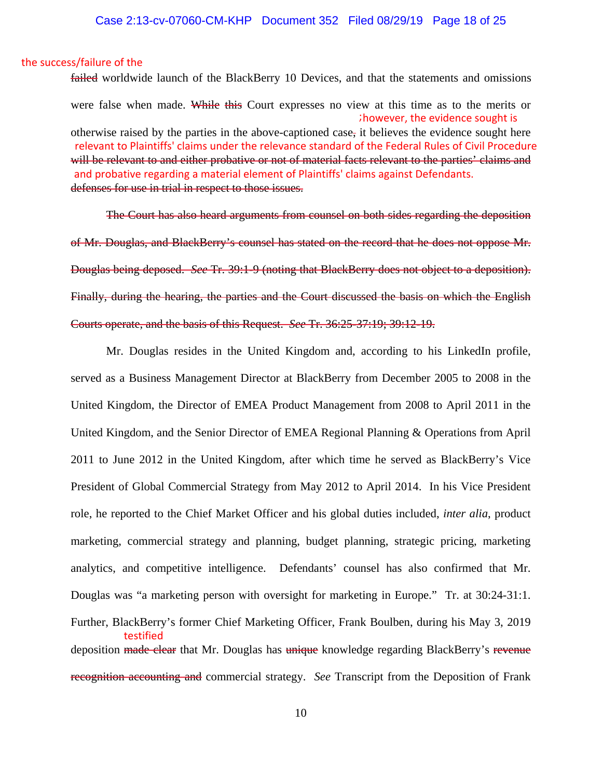#### the success/failure of the

failed worldwide launch of the BlackBerry 10 Devices, and that the statements and omissions were false when made. While this Court expresses no view at this time as to the merits or ; however, the evidence sought is otherwise raised by the parties in the above-captioned case, it believes the evidence sought here relevant to Plaintiffs' claims under the relevance standard of the Federal Rules of Civil Procedure will be relevant to and either probative or not of material facts relevant to the parties' claims and and probative regarding a material element of Plaintiffs' claims against Defendants. defenses for use in trial in respect to those issues.

The Court has also heard arguments from counsel on both sides regarding the deposition of Mr. Douglas, and BlackBerry's counsel has stated on the record that he does not oppose Mr. Douglas being deposed. *See* Tr. 39:1-9 (noting that BlackBerry does not object to a deposition). Finally, during the hearing, the parties and the Court discussed the basis on which the English Courts operate, and the basis of this Request. *See* Tr. 36:25-37:19; 39:12-19.

Mr. Douglas resides in the United Kingdom and, according to his LinkedIn profile, served as a Business Management Director at BlackBerry from December 2005 to 2008 in the United Kingdom, the Director of EMEA Product Management from 2008 to April 2011 in the United Kingdom, and the Senior Director of EMEA Regional Planning & Operations from April 2011 to June 2012 in the United Kingdom, after which time he served as BlackBerry's Vice President of Global Commercial Strategy from May 2012 to April 2014. In his Vice President role, he reported to the Chief Market Officer and his global duties included, *inter alia*, product marketing, commercial strategy and planning, budget planning, strategic pricing, marketing analytics, and competitive intelligence. Defendants' counsel has also confirmed that Mr. Douglas was "a marketing person with oversight for marketing in Europe." Tr. at 30:24-31:1. Further, BlackBerry's former Chief Marketing Officer, Frank Boulben, during his May 3, 2019 testified deposition made clear that Mr. Douglas has unique knowledge regarding BlackBerry's revenue recognition accounting and commercial strategy. *See* Transcript from the Deposition of Frank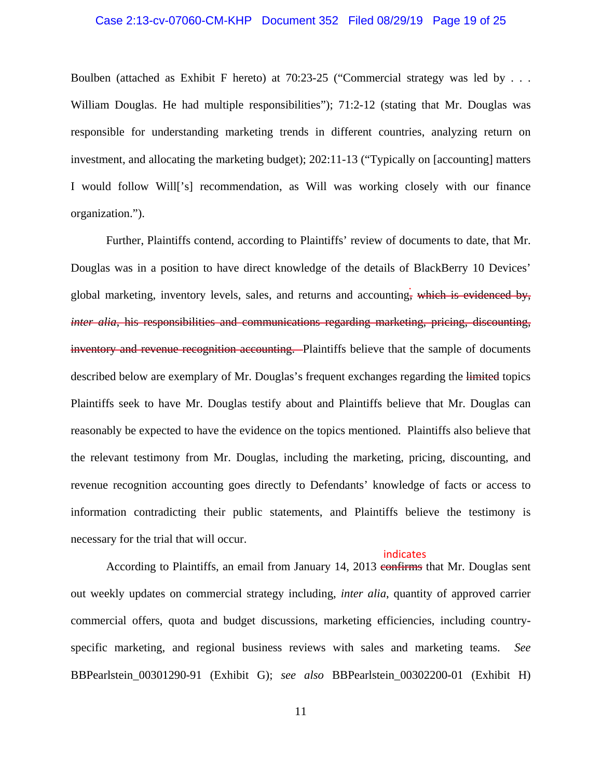### Case 2:13-cv-07060-CM-KHP Document 352 Filed 08/29/19 Page 19 of 25

Boulben (attached as Exhibit F hereto) at 70:23-25 ("Commercial strategy was led by . . . William Douglas. He had multiple responsibilities"); 71:2-12 (stating that Mr. Douglas was responsible for understanding marketing trends in different countries, analyzing return on investment, and allocating the marketing budget); 202:11-13 ("Typically on [accounting] matters I would follow Will['s] recommendation, as Will was working closely with our finance organization.").

Further, Plaintiffs contend, according to Plaintiffs' review of documents to date, that Mr. Douglas was in a position to have direct knowledge of the details of BlackBerry 10 Devices' global marketing, inventory levels, sales, and returns and accounting, which is evidenced by, *inter alia*, his responsibilities and communications regarding marketing, pricing, discounting, inventory and revenue recognition accounting. Plaintiffs believe that the sample of documents described below are exemplary of Mr. Douglas's frequent exchanges regarding the limited topics Plaintiffs seek to have Mr. Douglas testify about and Plaintiffs believe that Mr. Douglas can reasonably be expected to have the evidence on the topics mentioned. Plaintiffs also believe that the relevant testimony from Mr. Douglas, including the marketing, pricing, discounting, and revenue recognition accounting goes directly to Defendants' knowledge of facts or access to information contradicting their public statements, and Plaintiffs believe the testimony is necessary for the trial that will occur. .

#### indicates

According to Plaintiffs, an email from January 14, 2013 confirms that Mr. Douglas sent out weekly updates on commercial strategy including, *inter alia*, quantity of approved carrier commercial offers, quota and budget discussions, marketing efficiencies, including countryspecific marketing, and regional business reviews with sales and marketing teams. *See*  BBPearlstein\_00301290-91 (Exhibit G); *see also* BBPearlstein\_00302200-01 (Exhibit H)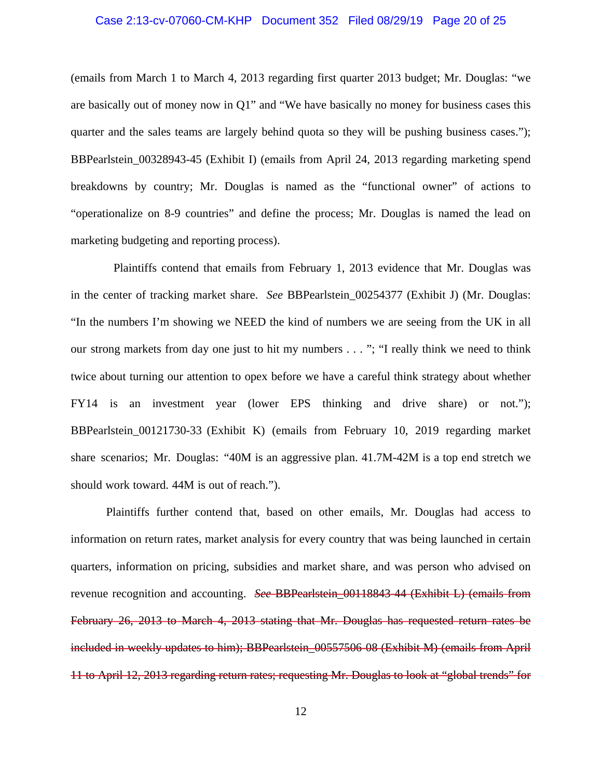### Case 2:13-cv-07060-CM-KHP Document 352 Filed 08/29/19 Page 20 of 25

(emails from March 1 to March 4, 2013 regarding first quarter 2013 budget; Mr. Douglas: "we are basically out of money now in Q1" and "We have basically no money for business cases this quarter and the sales teams are largely behind quota so they will be pushing business cases."); BBPearlstein\_00328943-45 (Exhibit I) (emails from April 24, 2013 regarding marketing spend breakdowns by country; Mr. Douglas is named as the "functional owner" of actions to "operationalize on 8-9 countries" and define the process; Mr. Douglas is named the lead on marketing budgeting and reporting process).

 Plaintiffs contend that emails from February 1, 2013 evidence that Mr. Douglas was in the center of tracking market share. *See* BBPearlstein 00254377 (Exhibit J) (Mr. Douglas: "In the numbers I'm showing we NEED the kind of numbers we are seeing from the UK in all our strong markets from day one just to hit my numbers . . . "; "I really think we need to think twice about turning our attention to opex before we have a careful think strategy about whether FY14 is an investment year (lower EPS thinking and drive share) or not."); BBPearlstein\_00121730-33 (Exhibit K) (emails from February 10, 2019 regarding market share scenarios; Mr. Douglas: "40M is an aggressive plan. 41.7M-42M is a top end stretch we should work toward. 44M is out of reach.").

Plaintiffs further contend that, based on other emails, Mr. Douglas had access to information on return rates, market analysis for every country that was being launched in certain quarters, information on pricing, subsidies and market share, and was person who advised on revenue recognition and accounting. *See* BBPearlstein\_00118843-44 (Exhibit L) (emails from February 26, 2013 to March 4, 2013 stating that Mr. Douglas has requested return rates be included in weekly updates to him); BBPearlstein 00557506-08 (Exhibit M) (emails from April 11 to April 12, 2013 regarding return rates; requesting Mr. Douglas to look at "global trends" for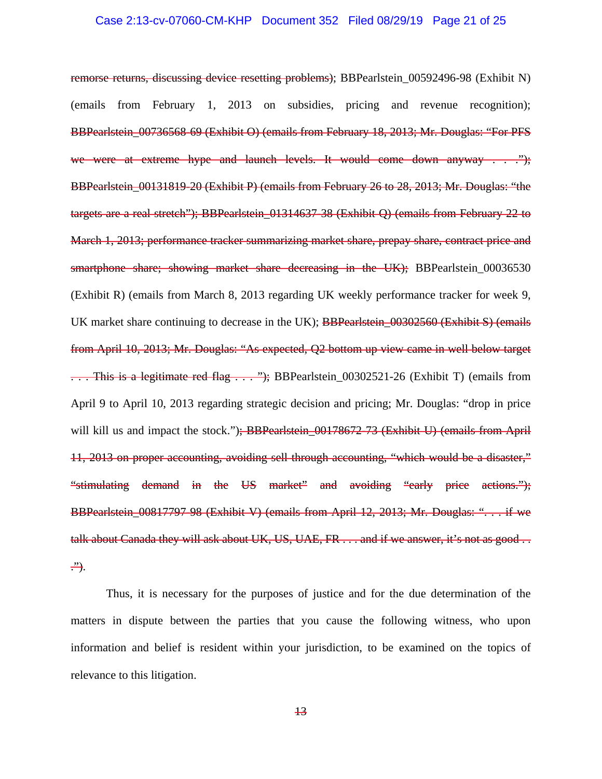### Case 2:13-cv-07060-CM-KHP Document 352 Filed 08/29/19 Page 21 of 25

remorse returns, discussing device resetting problems); BBPearlstein\_00592496-98 (Exhibit N) (emails from February 1, 2013 on subsidies, pricing and revenue recognition); BBPearlstein\_00736568-69 (Exhibit O) (emails from February 18, 2013; Mr. Douglas: "For PFS we were at extreme hype and launch levels. It would come down anyway . . . "); BBPearlstein 00131819-20 (Exhibit P) (emails from February 26 to 28, 2013; Mr. Douglas: "the targets are a real stretch"); BBPearlstein\_01314637-38 (Exhibit Q) (emails from February 22 to March 1, 2013; performance tracker summarizing market share, prepay share, contract price and smartphone share; showing market share decreasing in the UK); BBPearlstein\_00036530 (Exhibit R) (emails from March 8, 2013 regarding UK weekly performance tracker for week 9, UK market share continuing to decrease in the UK); BBPearlstein 00302560 (Exhibit S) (emails from April 10, 2013; Mr. Douglas: "As expected, Q2 bottom up view came in well below target ... This is a legitimate red flag ... "); BBPearlstein\_00302521-26 (Exhibit T) (emails from April 9 to April 10, 2013 regarding strategic decision and pricing; Mr. Douglas: "drop in price will kill us and impact the stock."); BBPearlstein\_00178672-73 (Exhibit U) (emails from April 11, 2013 on proper accounting, avoiding sell through accounting, "which would be a disaster," "stimulating demand in the US market" and avoiding "early price actions."); BBPearlstein\_00817797-98 (Exhibit V) (emails from April 12, 2013; Mr. Douglas: ". . . if we talk about Canada they will ask about UK, US, UAE, FR . . . and if we answer, it's not as good . . .").

Thus, it is necessary for the purposes of justice and for the due determination of the matters in dispute between the parties that you cause the following witness, who upon information and belief is resident within your jurisdiction, to be examined on the topics of relevance to this litigation.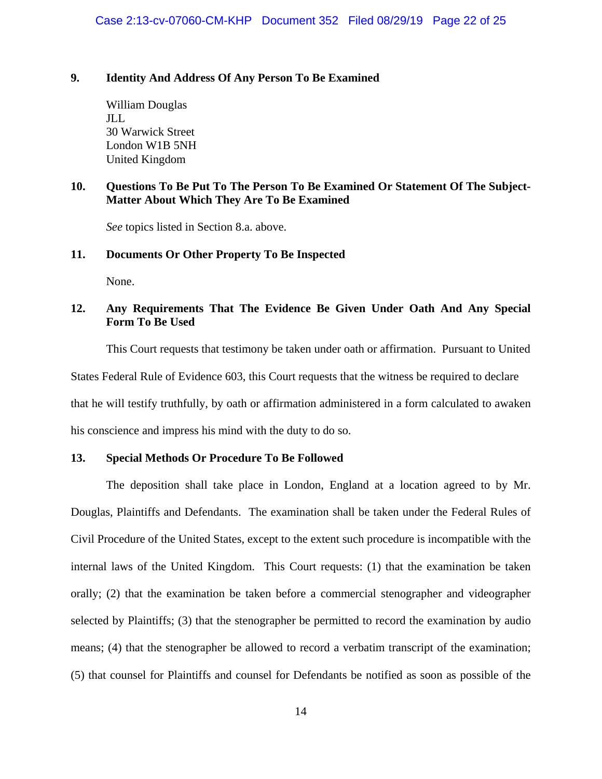### **9. Identity And Address Of Any Person To Be Examined**

William Douglas JLL 30 Warwick Street London W1B 5NH United Kingdom

# **10. Questions To Be Put To The Person To Be Examined Or Statement Of The Subject-Matter About Which They Are To Be Examined**

*See* topics listed in Section 8.a. above.

### **11. Documents Or Other Property To Be Inspected**

None.

# **12. Any Requirements That The Evidence Be Given Under Oath And Any Special Form To Be Used**

This Court requests that testimony be taken under oath or affirmation. Pursuant to United

States Federal Rule of Evidence 603, this Court requests that the witness be required to declare

that he will testify truthfully, by oath or affirmation administered in a form calculated to awaken

his conscience and impress his mind with the duty to do so.

### **13. Special Methods Or Procedure To Be Followed**

The deposition shall take place in London, England at a location agreed to by Mr. Douglas, Plaintiffs and Defendants. The examination shall be taken under the Federal Rules of Civil Procedure of the United States, except to the extent such procedure is incompatible with the internal laws of the United Kingdom. This Court requests: (1) that the examination be taken orally; (2) that the examination be taken before a commercial stenographer and videographer selected by Plaintiffs; (3) that the stenographer be permitted to record the examination by audio means; (4) that the stenographer be allowed to record a verbatim transcript of the examination; (5) that counsel for Plaintiffs and counsel for Defendants be notified as soon as possible of the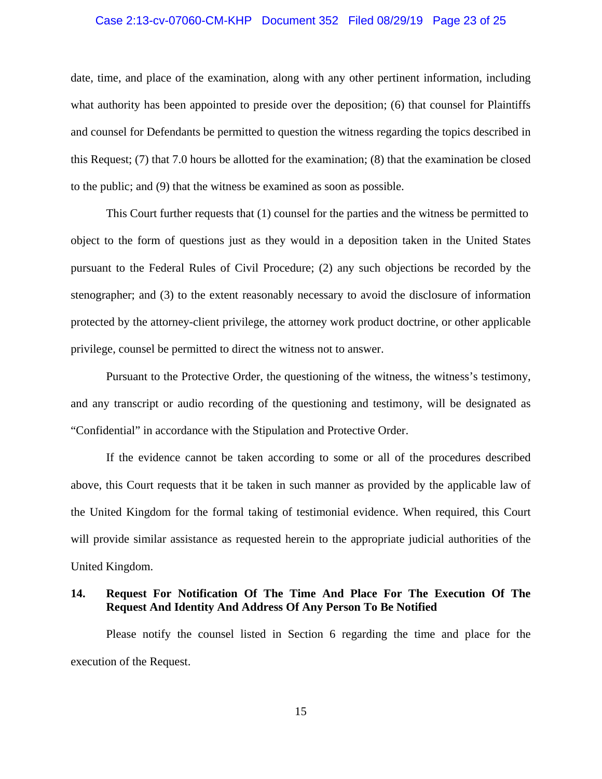#### Case 2:13-cv-07060-CM-KHP Document 352 Filed 08/29/19 Page 23 of 25

date, time, and place of the examination, along with any other pertinent information, including what authority has been appointed to preside over the deposition; (6) that counsel for Plaintiffs and counsel for Defendants be permitted to question the witness regarding the topics described in this Request; (7) that 7.0 hours be allotted for the examination; (8) that the examination be closed to the public; and (9) that the witness be examined as soon as possible.

This Court further requests that (1) counsel for the parties and the witness be permitted to object to the form of questions just as they would in a deposition taken in the United States pursuant to the Federal Rules of Civil Procedure; (2) any such objections be recorded by the stenographer; and (3) to the extent reasonably necessary to avoid the disclosure of information protected by the attorney-client privilege, the attorney work product doctrine, or other applicable privilege, counsel be permitted to direct the witness not to answer.

Pursuant to the Protective Order, the questioning of the witness, the witness's testimony, and any transcript or audio recording of the questioning and testimony, will be designated as "Confidential" in accordance with the Stipulation and Protective Order.

If the evidence cannot be taken according to some or all of the procedures described above, this Court requests that it be taken in such manner as provided by the applicable law of the United Kingdom for the formal taking of testimonial evidence. When required, this Court will provide similar assistance as requested herein to the appropriate judicial authorities of the United Kingdom.

# **14. Request For Notification Of The Time And Place For The Execution Of The Request And Identity And Address Of Any Person To Be Notified**

Please notify the counsel listed in Section 6 regarding the time and place for the execution of the Request.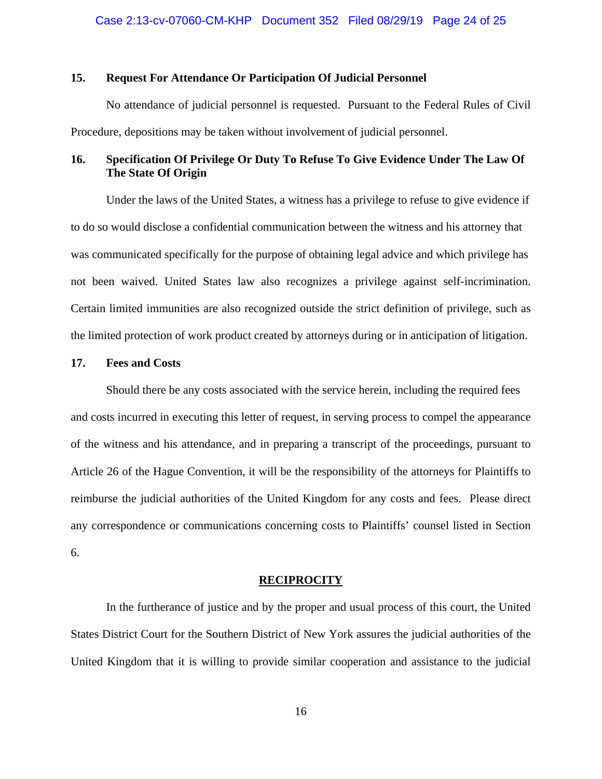### **15. Request For Attendance Or Participation Of Judicial Personnel**

No attendance of judicial personnel is requested. Pursuant to the Federal Rules of Civil Procedure, depositions may be taken without involvement of judicial personnel.

# **16. Specification Of Privilege Or Duty To Refuse To Give Evidence Under The Law Of The State Of Origin**

Under the laws of the United States, a witness has a privilege to refuse to give evidence if to do so would disclose a confidential communication between the witness and his attorney that was communicated specifically for the purpose of obtaining legal advice and which privilege has not been waived. United States law also recognizes a privilege against self-incrimination. Certain limited immunities are also recognized outside the strict definition of privilege, such as the limited protection of work product created by attorneys during or in anticipation of litigation.

### **17. Fees and Costs**

Should there be any costs associated with the service herein, including the required fees and costs incurred in executing this letter of request, in serving process to compel the appearance of the witness and his attendance, and in preparing a transcript of the proceedings, pursuant to Article 26 of the Hague Convention, it will be the responsibility of the attorneys for Plaintiffs to reimburse the judicial authorities of the United Kingdom for any costs and fees. Please direct any correspondence or communications concerning costs to Plaintiffs' counsel listed in Section 6.

### **RECIPROCITY**

In the furtherance of justice and by the proper and usual process of this court, the United States District Court for the Southern District of New York assures the judicial authorities of the United Kingdom that it is willing to provide similar cooperation and assistance to the judicial